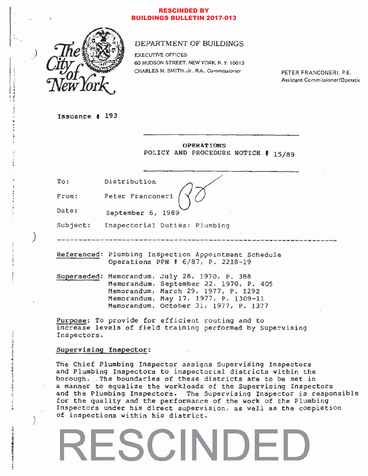### RESCINDED BY BUILDINGS BULLETIN 2017-013



### DEPARTMENT OF BUILDINGS

EXECUTIVE OFFICES 60 HUDSON STREET. NEW YORK. N. Y. 10013 CHARLES M. SMITH. Jr., R.A., Commissioner

PETER FRANCONERI, P.E. Assistant Commissioner/Operatic

Issuance # 193

;

)

, ., · , . . . . . .

 $-2.2233333333333$ 

)

, , , ,

 $\frac{2}{3}$ • , l dan Mahidi.<br>1

, , , • .. ;

 $\frac{1}{2}$ 

1

 $\bullet$  is a finite distance of  $\bullet$ 

)

OPERATIONS POLICY AND PROCEDURE NOTICE # 15/89

To:  $\overline{\qquad \qquad }$ Distribution  $\qquad \qquad$ Distribution<br>Peter Franconeri

Fcom:

Date: September 6, 1989

Subject: Inspectorial Duties: Plumbing

-----------------------------------------------------------------

Referenced: Plumbing Inspection Appointment Schedule Operations PPN # 6/87, P. 2218-19

Superseded: Memorandum, July 28, 1970, P. 388 Memorandum, September 22, 1970, P. 405 Memorandum, March 29, 1977, P. 1292 Memorandum, May 17, 1977, P. 1309-11 Memorandum, october 31, 1977, P. 1377

Purpose: To provide for efficient routing and to increase levels of field training performed by Supervising Inspectors.

### Supervising Inspector:

The Chief Plumbing Inspector assigns Supervising Inspectors and Plumbing Inspectors to inspectorial districts within the borough. The boundaries of these districts are to be set in a manner to equalize the workloads of the Supervising Inspectors and the Plumbing Inspectors. The Supervising Inspector is responsible for the quality and the performance of the work of the Plumbing Inspectors under his direct supervision, as well as the completion of inspections within his district.

### **SCIND**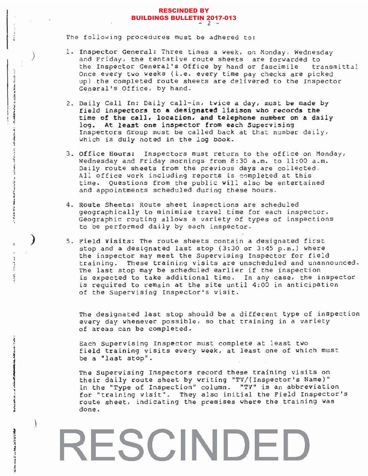### RESCINDED BY BUILDINGS BULLETIN 2017-013 - 2 -

The following procedures must be adhered to:

, ·

· · , • • 1  $v_{\alpha}$  ,  $v_{\alpha}$  is a set of  $\Delta$  .

)

**BPF-4** • , j

~  $n$ if the inter-;  $\frac{1}{3}$ 

 $\mathbf{r}$ 1 • , , ·

 $, \cdot$ 

 $\overline{\phantom{a}}$ 

)

:.

· j

 $\frac{1}{2}$ 1

وجو<u>انا - 1</u><br>1 جوانا - 1 ب

• j •

1

'. I J  $\frac{1}{4}$ 

- 1. Inspector General: Three times a *week,* on Monday, Wednesday and Friday, the tentative route sheets are forwarded to the Inspector General's Office by hand or fascimile transmittal Once every two weeks (i.e. every time pay checks are picked up) the completed route sheets are delivered to the Inspectoc General's Office, by hand.
- <sup>2</sup> . Daily Call In: *Daily* call-in, twice a day, must be made by field inspectors to a designated liaison who records the time of the call, location, and telephone number on a daily log. At least one inspector from each Supervising Inspectors Group must be called back at that number daily, Which is duly noted in the log book.
- 3. Office Hours: Inspectors must return to the office on Monday, Wednesday and Friday mornings from *8:30* a.m. to *11:00* a .m . *Daily* route sheets from the previous days are collected . All office work including reports is completed at this time. Questions from the public will *also* be entertained and appointments Scheduled during these hours.
- 4. Route Sheets: Route sheet inspections are scheduled geographically to minimize travel time for each inspector. Geographic routing allows a variety of types of inspections to be performed daily by each inspector.
- 5. Field visits: The route sheets contain a designated first stop and a designated last stop (3:30 or 3:45 p.m.) where the inspector may meet the Supervising Inspector for field training. These training visits are unscheduled and unannounced. The last stop may be scheduled earlier if the inspection is expected to take additional time. In any case, the inspector is required to remain at the site *until* 4:00 in anticipation of the Supervising Inspector's visit.

The designated last stop should be a different type of inspection every day whenever possible, so that training in a variety of areas can be completed.

Each Supervising Inspector must complete at least two field training visits every week, at least one of which must be a *"last* stop".

The Supervising Inspectors record these training visits on their daily route sheet by writing "TV/ (Inspector's Name)" in the "Type of Inspection" *column.* "TV" is an abbreviation for "training visit". They also initial the Field Inspector's route sheet, indicating the premises where the training was done.

## **RESCINDED**